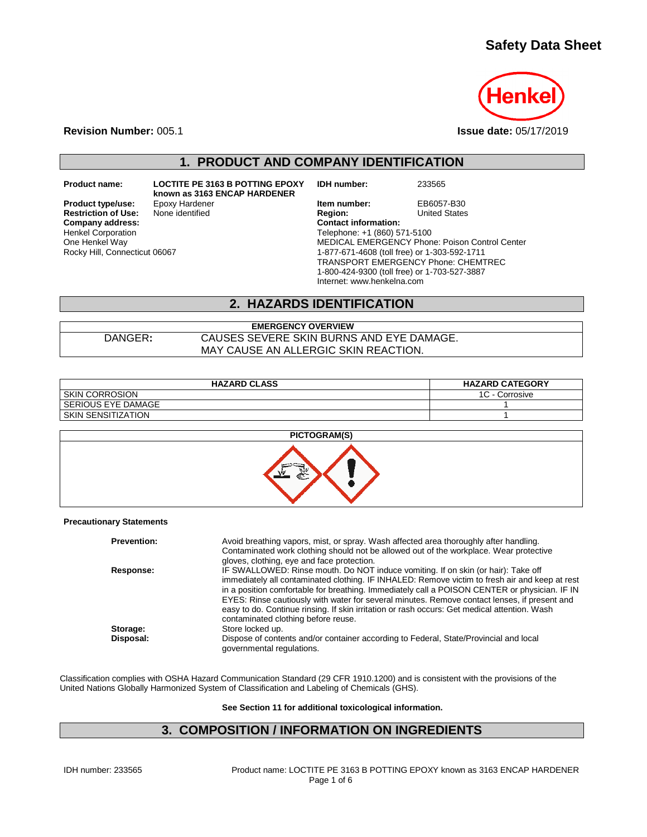# **Safety Data Sheet**



**Revision Number:** 005.1 **Issue date:** 05/17/2019

**1. PRODUCT AND COMPANY IDENTIFICATION**

**Restriction of Use:**<br>Company address: Henkel Corporation One Henkel Way Rocky Hill, Connecticut 06067

**Product name: LOCTITE PE 3163 B POTTING EPOXY known as 3163 ENCAP HARDENER**

**IDH number:** 233565

**Product type/use:** Epoxy Hardener **In the Market Member EB6057-B30**<br> **Restriction of Use:** None identified **In the Region:** Inited States **Company address: Contact information:** Telephone: +1 (860) 571-5100 MEDICAL EMERGENCY Phone: Poison Control Center 1-877-671-4608 (toll free) or 1-303-592-1711 TRANSPORT EMERGENCY Phone: CHEMTREC 1-800-424-9300 (toll free) or 1-703-527-3887 Internet: www.henkelna.com

#### **2. HAZARDS IDENTIFICATION**

**EMERGENCY OVERVIEW** DANGER**:** CAUSES SEVERE SKIN BURNS AND EYE DAMAGE. MAY CAUSE AN ALLERGIC SKIN REACTION.

| <b>HAZARD CLASS</b>       | <b>HAZARD CATEGORY</b> |
|---------------------------|------------------------|
| I SKIN CORROSION          | 1C<br>- Corrosive      |
| l SERIOUS EYE DAMAGE      |                        |
| <b>SKIN SENSITIZATION</b> |                        |



#### **Precautionary Statements**

| <b>Prevention:</b> | Avoid breathing vapors, mist, or spray. Wash affected area thoroughly after handling.<br>Contaminated work clothing should not be allowed out of the workplace. Wear protective<br>gloves, clothing, eye and face protection.                                                                                                                                                                                                                                                                                               |
|--------------------|-----------------------------------------------------------------------------------------------------------------------------------------------------------------------------------------------------------------------------------------------------------------------------------------------------------------------------------------------------------------------------------------------------------------------------------------------------------------------------------------------------------------------------|
| Response:          | IF SWALLOWED: Rinse mouth. Do NOT induce vomiting. If on skin (or hair): Take off<br>immediately all contaminated clothing. IF INHALED: Remove victim to fresh air and keep at rest<br>in a position comfortable for breathing. Immediately call a POISON CENTER or physician. IF IN<br>EYES: Rinse cautiously with water for several minutes. Remove contact lenses, if present and<br>easy to do. Continue rinsing. If skin irritation or rash occurs: Get medical attention. Wash<br>contaminated clothing before reuse. |
| Storage:           | Store locked up.                                                                                                                                                                                                                                                                                                                                                                                                                                                                                                            |
| Disposal:          | Dispose of contents and/or container according to Federal, State/Provincial and local<br>governmental regulations.                                                                                                                                                                                                                                                                                                                                                                                                          |

Classification complies with OSHA Hazard Communication Standard (29 CFR 1910.1200) and is consistent with the provisions of the United Nations Globally Harmonized System of Classification and Labeling of Chemicals (GHS).

**See Section 11 for additional toxicological information.**

#### **3. COMPOSITION / INFORMATION ON INGREDIENTS**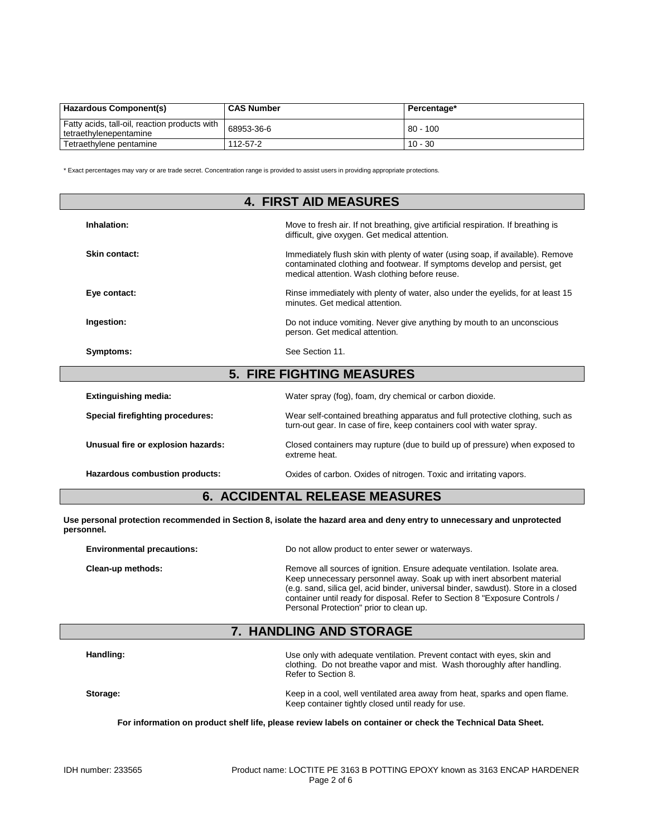| <b>Hazardous Component(s)</b>                                           | <b>CAS Number</b> | Percentage* |
|-------------------------------------------------------------------------|-------------------|-------------|
| Fatty acids, tall-oil, reaction products with<br>tetraethylenepentamine | 68953-36-6        | $80 - 100$  |
| Tetraethylene pentamine                                                 | 112-57-2          | $10 - 30$   |

\* Exact percentages may vary or are trade secret. Concentration range is provided to assist users in providing appropriate protections.

| <b>4. FIRST AID MEASURES</b>       |                                                                                                                                                                                                              |  |
|------------------------------------|--------------------------------------------------------------------------------------------------------------------------------------------------------------------------------------------------------------|--|
| Inhalation:                        | Move to fresh air. If not breathing, give artificial respiration. If breathing is<br>difficult, give oxygen. Get medical attention.                                                                          |  |
| Skin contact:                      | Immediately flush skin with plenty of water (using soap, if available). Remove<br>contaminated clothing and footwear. If symptoms develop and persist, get<br>medical attention. Wash clothing before reuse. |  |
| Eye contact:                       | Rinse immediately with plenty of water, also under the eyelids, for at least 15<br>minutes. Get medical attention.                                                                                           |  |
| Ingestion:                         | Do not induce vomiting. Never give anything by mouth to an unconscious<br>person. Get medical attention.                                                                                                     |  |
| Symptoms:                          | See Section 11.                                                                                                                                                                                              |  |
|                                    | <b>5. FIRE FIGHTING MEASURES</b>                                                                                                                                                                             |  |
| <b>Extinguishing media:</b>        | Water spray (fog), foam, dry chemical or carbon dioxide.                                                                                                                                                     |  |
| Special firefighting procedures:   | Wear self-contained breathing apparatus and full protective clothing, such as<br>turn-out gear. In case of fire, keep containers cool with water spray.                                                      |  |
| Unusual fire or explosion hazards: | Closed containers may rupture (due to build up of pressure) when exposed to<br>extreme heat.                                                                                                                 |  |
| Hazardous combustion products:     | Oxides of carbon. Oxides of nitrogen. Toxic and irritating vapors.                                                                                                                                           |  |

# **6. ACCIDENTAL RELEASE MEASURES**

**Use personal protection recommended in Section 8, isolate the hazard area and deny entry to unnecessary and unprotected personnel.**

| <b>Environmental precautions:</b> | Do not allow product to enter sewer or waterways.                                                                                                                                                                                                                                                                                                                    |
|-----------------------------------|----------------------------------------------------------------------------------------------------------------------------------------------------------------------------------------------------------------------------------------------------------------------------------------------------------------------------------------------------------------------|
| Clean-up methods:                 | Remove all sources of ignition. Ensure adequate ventilation. Isolate area.<br>Keep unnecessary personnel away. Soak up with inert absorbent material<br>(e.g. sand, silica gel, acid binder, universal binder, sawdust). Store in a closed<br>container until ready for disposal. Refer to Section 8 "Exposure Controls /<br>Personal Protection" prior to clean up. |

# **7. HANDLING AND STORAGE**

| Handling: | Use only with adequate ventilation. Prevent contact with eyes, skin and<br>clothing. Do not breathe vapor and mist. Wash thoroughly after handling.<br>Refer to Section 8. |
|-----------|----------------------------------------------------------------------------------------------------------------------------------------------------------------------------|
| Storage:  | Keep in a cool, well ventilated area away from heat, sparks and open flame.<br>Keep container tightly closed until ready for use.                                          |

**For information on product shelf life, please review labels on container or check the Technical Data Sheet.**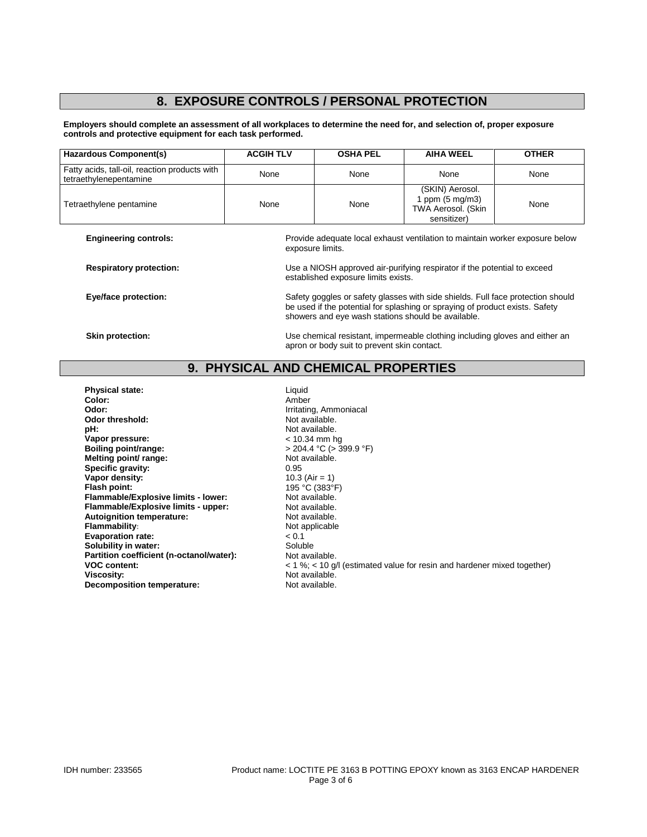# **8. EXPOSURE CONTROLS / PERSONAL PROTECTION**

**Employers should complete an assessment of all workplaces to determine the need for, and selection of, proper exposure controls and protective equipment for each task performed.**

| <b>Hazardous Component(s)</b>                                           | <b>ACGIH TLV</b> | <b>OSHA PEL</b>                                                                                                                                                                                                       | <b>AIHA WEEL</b>                                                                  | <b>OTHER</b> |
|-------------------------------------------------------------------------|------------------|-----------------------------------------------------------------------------------------------------------------------------------------------------------------------------------------------------------------------|-----------------------------------------------------------------------------------|--------------|
| Fatty acids, tall-oil, reaction products with<br>tetraethylenepentamine | None             | None                                                                                                                                                                                                                  | None                                                                              | None         |
| Tetraethylene pentamine                                                 | None             | None                                                                                                                                                                                                                  | (SKIN) Aerosol.<br>1 ppm $(5 \text{ mg/m3})$<br>TWA Aerosol. (Skin<br>sensitizer) | None         |
| <b>Engineering controls:</b>                                            |                  | Provide adequate local exhaust ventilation to maintain worker exposure below<br>exposure limits.                                                                                                                      |                                                                                   |              |
| <b>Respiratory protection:</b>                                          |                  | Use a NIOSH approved air-purifying respirator if the potential to exceed<br>established exposure limits exists.                                                                                                       |                                                                                   |              |
| Eye/face protection:                                                    |                  | Safety goggles or safety glasses with side shields. Full face protection should<br>be used if the potential for splashing or spraying of product exists. Safety<br>showers and eye wash stations should be available. |                                                                                   |              |
| <b>Skin protection:</b>                                                 |                  | Use chemical resistant, impermeable clothing including gloves and either an                                                                                                                                           |                                                                                   |              |

### **9. PHYSICAL AND CHEMICAL PROPERTIES**

apron or body suit to prevent skin contact.

**Physical state:** Liquid Color: Liquid Color: Liquid Color: Color:<br>Odor: **Odor:** Irritating, Ammoniacal<br> **Odor threshold:** The South of American Society American Mot available. **Odor threshold:** Not available.<br> **pH:** Not available. **Vapor pressure:**<br>Boiling point/range: **Melting point/ range:** Not available. **Specific gravity:** 0.95 **Vapor density:** 10.3 (Air = 1)<br> **Flash point:** 195 °C (383°F) **Flash point: 195 °C (383°F**<br> **Flammable/Explosive limits - lower:** Not available. **Flammable/Explosive limits - lower:** Not available.<br> **Flammable/Explosive limits - upper:** Not available. **Flammable/Explosive limits - upper:** Not available.<br> **Autoignition temperature:** Not available. **Autoignition temperature:**<br>Flammability: **Evaporation rate:**  $\leq 0.1$   $\leq 0.1$   $\leq 0.1$  Soluble **Solubility in water:** Soluble Soluble Soluble Soluble **Partition coefficient (n-octanol/water):** Soluble **Partition coefficient (n-octanol/water):** Not available. Partition coefficient (n-octanol/water): **Decomposition temperature:** 

Not available.<br>< 10.34 mm hg **boiling Boiling Point Property**<br>Not available. Not applicable<br>  $< 0.1$ **VOC content:** < 1 %; < 10 g/l (estimated value for resin and hardener mixed together) Not available.<br>Not available.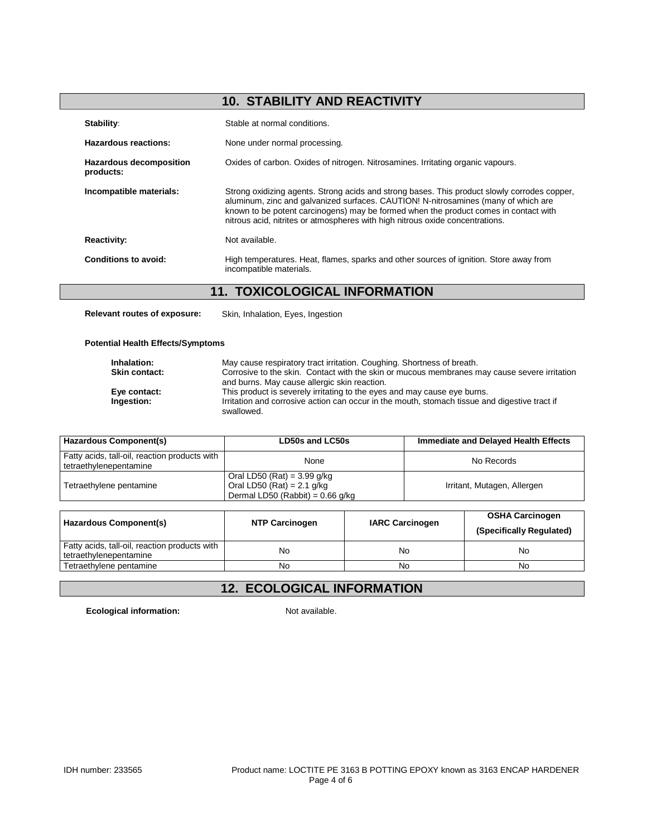# **10. STABILITY AND REACTIVITY**

| Stability:                                  | Stable at normal conditions.                                                                                                                                                                                                                                                                                                                                |
|---------------------------------------------|-------------------------------------------------------------------------------------------------------------------------------------------------------------------------------------------------------------------------------------------------------------------------------------------------------------------------------------------------------------|
| Hazardous reactions:                        | None under normal processing.                                                                                                                                                                                                                                                                                                                               |
| <b>Hazardous decomposition</b><br>products: | Oxides of carbon. Oxides of nitrogen. Nitrosamines. Irritating organic vapours.                                                                                                                                                                                                                                                                             |
| Incompatible materials:                     | Strong oxidizing agents. Strong acids and strong bases. This product slowly corrodes copper,<br>aluminum, zinc and galvanized surfaces. CAUTION! N-nitrosamines (many of which are<br>known to be potent carcinogens) may be formed when the product comes in contact with<br>nitrous acid, nitrites or atmospheres with high nitrous oxide concentrations. |
| <b>Reactivity:</b>                          | Not available.                                                                                                                                                                                                                                                                                                                                              |
| Conditions to avoid:                        | High temperatures. Heat, flames, sparks and other sources of ignition. Store away from<br>incompatible materials.                                                                                                                                                                                                                                           |

## **11. TOXICOLOGICAL INFORMATION**

**Relevant routes of exposure:** Skin, Inhalation, Eyes, Ingestion

#### **Potential Health Effects/Symptoms**

| Inhalation:          | May cause respiratory tract irritation. Coughing. Shortness of breath.                                                                       |
|----------------------|----------------------------------------------------------------------------------------------------------------------------------------------|
| <b>Skin contact:</b> | Corrosive to the skin. Contact with the skin or mucous membranes may cause severe irritation<br>and burns. May cause allergic skin reaction. |
| Eye contact:         | This product is severely irritating to the eyes and may cause eye burns.                                                                     |
| Ingestion:           | Irritation and corrosive action can occur in the mouth, stomach tissue and digestive tract if<br>swallowed.                                  |

| Hazardous Component(s)                                                  | LD50s and LC50s                                                                                     | Immediate and Delayed Health Effects |
|-------------------------------------------------------------------------|-----------------------------------------------------------------------------------------------------|--------------------------------------|
| Fatty acids, tall-oil, reaction products with<br>tetraethylenepentamine | None                                                                                                | No Records                           |
| Tetraethylene pentamine                                                 | Oral LD50 (Rat) = $3.99$ g/kg<br>Oral LD50 (Rat) = $2.1$ g/kg<br>Dermal LD50 (Rabbit) = $0.66$ g/kg | Irritant, Mutagen, Allergen          |

| Hazardous Component(s)                                                  | <b>NTP Carcinogen</b> | <b>IARC Carcinogen</b> | <b>OSHA Carcinogen</b><br>(Specifically Regulated) |
|-------------------------------------------------------------------------|-----------------------|------------------------|----------------------------------------------------|
| Fatty acids, tall-oil, reaction products with<br>tetraethylenepentamine | No                    | No                     | No                                                 |
| Tetraethylene pentamine                                                 | No                    | No                     | No                                                 |

# **12. ECOLOGICAL INFORMATION**

**Ecological information:** Not available.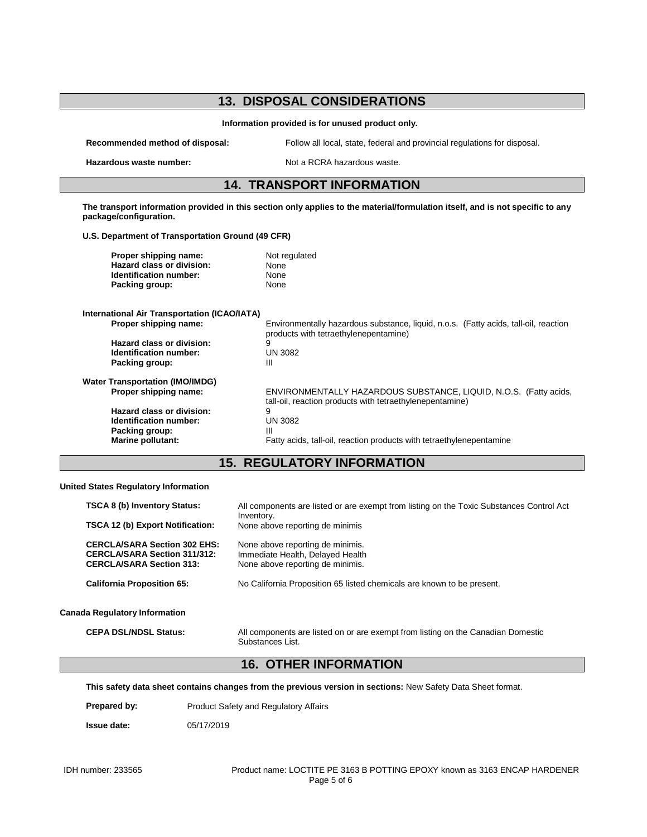## **13. DISPOSAL CONSIDERATIONS Information provided is for unused product only. Recommended method of disposal:** Follow all local, state, federal and provincial regulations for disposal. **Hazardous waste number:** Not a RCRA hazardous waste. **14. TRANSPORT INFORMATION The transport information provided in this section only applies to the material/formulation itself, and is not specific to any package/configuration. U.S. Department of Transportation Ground (49 CFR) Proper shipping name:** Not regulated<br> **Hazard class or division:** None **Hazard class or division: Identification number:** None<br> **Packing group:** None **Packing group: International Air Transportation (ICAO/IATA) Proper shipping name:** Environmentally hazardous substance, liquid, n.o.s. (Fatty acids, tall-oil, reaction products with tetraethylenepentamine) **Hazard class or division:** 9 **Identification number:** UN 3082<br>**Packing group:** III **Packing group: Water Transportation (IMO/IMDG) Proper shipping name:** ENVIRONMENTALLY HAZARDOUS SUBSTANCE, LIQUID, N.O.S. (Fatty acids, tall-oil, reaction products with tetraethylenepentamine)<br>9 **Hazard class or division:** 9<br> **Identification number:** UN 3082 **Identification number:** UN<br>Packing group: III **Packing group:**<br>Marine pollutant: Fatty acids, tall-oil, reaction products with tetraethylenepentamine

#### **15. REGULATORY INFORMATION**

**United States Regulatory Information**

| <b>TSCA 8 (b) Inventory Status:</b><br><b>TSCA 12 (b) Export Notification:</b>                                | All components are listed or are exempt from listing on the Toxic Substances Control Act<br>Inventory.<br>None above reporting de minimis |
|---------------------------------------------------------------------------------------------------------------|-------------------------------------------------------------------------------------------------------------------------------------------|
| <b>CERCLA/SARA Section 302 EHS:</b><br><b>CERCLA/SARA Section 311/312:</b><br><b>CERCLA/SARA Section 313:</b> | None above reporting de minimis.<br>Immediate Health, Delayed Health<br>None above reporting de minimis.                                  |
| <b>California Proposition 65:</b>                                                                             | No California Proposition 65 listed chemicals are known to be present.                                                                    |
| <b>Canada Regulatory Information</b>                                                                          |                                                                                                                                           |
| <b>CEPA DSL/NDSL Status:</b>                                                                                  | All components are listed on or are exempt from listing on the Canadian Domestic<br>Substances List.                                      |

#### **16. OTHER INFORMATION**

**This safety data sheet contains changes from the previous version in sections:** New Safety Data Sheet format.

**Prepared by:** Product Safety and Regulatory Affairs

**Issue date:** 05/17/2019